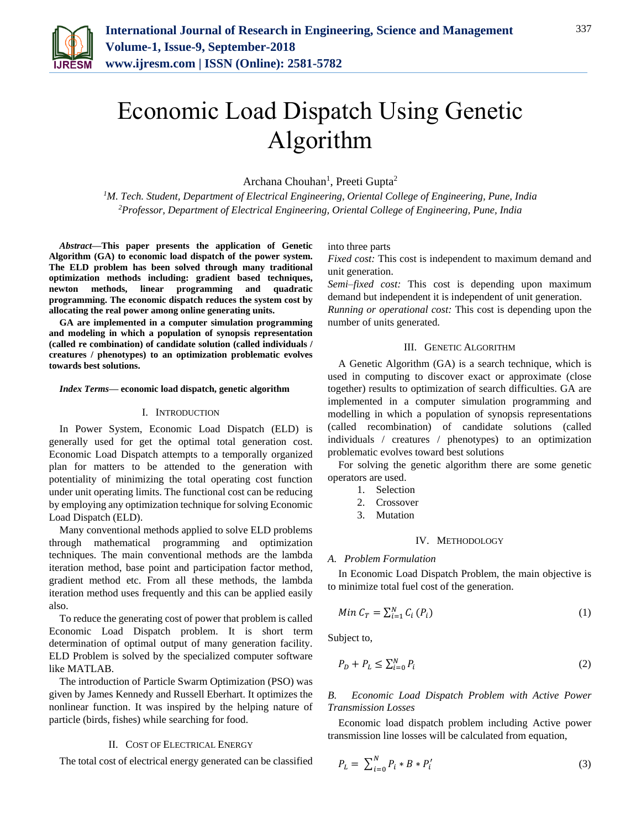

# Economic Load Dispatch Using Genetic Algorithm

Archana Chouhan<sup>1</sup>, Preeti Gupta<sup>2</sup>

*<sup>1</sup>M. Tech. Student, Department of Electrical Engineering, Oriental College of Engineering, Pune, India 2Professor, Department of Electrical Engineering, Oriental College of Engineering, Pune, India*

*Abstract***—This paper presents the application of Genetic Algorithm (GA) to economic load dispatch of the power system. The ELD problem has been solved through many traditional optimization methods including: gradient based techniques, newton methods, linear programming and quadratic programming. The economic dispatch reduces the system cost by allocating the real power among online generating units.**

**GA are implemented in a computer simulation programming and modeling in which a population of synopsis representation (called re combination) of candidate solution (called individuals / creatures / phenotypes) to an optimization problematic evolves towards best solutions.**

#### *Index Terms***— economic load dispatch, genetic algorithm**

#### I. INTRODUCTION

In Power System, Economic Load Dispatch (ELD) is generally used for get the optimal total generation cost. Economic Load Dispatch attempts to a temporally organized plan for matters to be attended to the generation with potentiality of minimizing the total operating cost function under unit operating limits. The functional cost can be reducing by employing any optimization technique for solving Economic Load Dispatch (ELD).

Many conventional methods applied to solve ELD problems through mathematical programming and optimization techniques. The main conventional methods are the lambda iteration method, base point and participation factor method, gradient method etc. From all these methods, the lambda iteration method uses frequently and this can be applied easily also.

To reduce the generating cost of power that problem is called Economic Load Dispatch problem. It is short term determination of optimal output of many generation facility. ELD Problem is solved by the specialized computer software like MATLAB.

The introduction of Particle Swarm Optimization (PSO) was given by James Kennedy and Russell Eberhart. It optimizes the nonlinear function. It was inspired by the helping nature of particle (birds, fishes) while searching for food.

#### II. COST OF ELECTRICAL ENERGY

The total cost of electrical energy generated can be classified

into three parts

*Fixed cost:* This cost is independent to maximum demand and unit generation.

*Semi–fixed cost:* This cost is depending upon maximum demand but independent it is independent of unit generation. *Running or operational cost:* This cost is depending upon the

number of units generated.

### III. GENETIC ALGORITHM

A Genetic Algorithm (GA) is a search technique, which is used in computing to discover exact or approximate (close together) results to optimization of search difficulties. GA are implemented in a computer simulation programming and modelling in which a population of synopsis representations (called recombination) of candidate solutions (called individuals / creatures / phenotypes) to an optimization problematic evolves toward best solutions

For solving the genetic algorithm there are some genetic operators are used.

- 1. Selection
- 2. Crossover
- 3. Mutation

## IV. METHODOLOGY

#### *A. Problem Formulation*

In Economic Load Dispatch Problem, the main objective is to minimize total fuel cost of the generation.

$$
Min C_T = \sum_{i=1}^{N} C_i (P_i)
$$
 (1)

Subject to,

$$
P_D + P_L \le \sum_{i=0}^{N} P_i \tag{2}
$$

*B. Economic Load Dispatch Problem with Active Power Transmission Losses*

Economic load dispatch problem including Active power transmission line losses will be calculated from equation,

$$
P_L = \sum_{i=0}^{N} P_i * B * P'_i \tag{3}
$$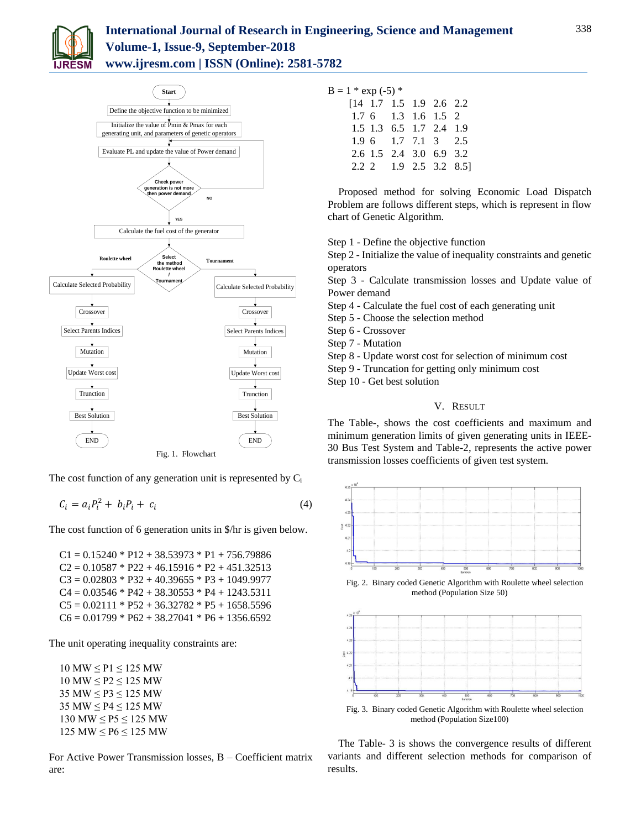



The cost function of any generation unit is represented by  $C_i$ 

$$
C_i = a_i P_i^2 + b_i P_i + c_i \tag{4}
$$

The cost function of 6 generation units in \$/hr is given below.

 $C1 = 0.15240 * P12 + 38.53973 * P1 + 756.79886$  $C2 = 0.10587 * P22 + 46.15916 * P2 + 451.32513$  $C3 = 0.02803 * P32 + 40.39655 * P3 + 1049.9977$  $C4 = 0.03546 * P42 + 38.30553 * P4 + 1243.5311$  $C5 = 0.02111 * P52 + 36.32782 * P5 + 1658.5596$  $C6 = 0.01799 * P62 + 38.27041 * P6 + 1356.6592$ 

The unit operating inequality constraints are:

 $10$  MW  $\leq$  P1  $\leq$  125 MW  $10$  MW  $\leq$  P2  $\leq$  125 MW 35 MW ≤ P3 ≤ 125 MW 35 MW ≤ P4 ≤ 125 MW 130 MW ≤ P5 ≤ 125 MW  $125$  MW  $\leq$  P6  $\leq$  125 MW

For Active Power Transmission losses, B – Coefficient matrix are:

| $B = 1 * exp(-5) *$ |
|---------------------|
|---------------------|

|  |  | $[14 \t1.7 \t1.5 \t1.9 \t2.6 \t2.2$ |  |
|--|--|-------------------------------------|--|
|  |  | $1.76$ $1.3$ $1.6$ $1.5$ 2          |  |
|  |  | 1.5 1.3 6.5 1.7 2.4 1.9             |  |
|  |  | 1.9 6 1.7 7.1 3 2.5                 |  |
|  |  | 2.6 1.5 2.4 3.0 6.9 3.2             |  |
|  |  | 2.2 2 1.9 2.5 3.2 8.5]              |  |
|  |  |                                     |  |

Proposed method for solving Economic Load Dispatch Problem are follows different steps, which is represent in flow chart of Genetic Algorithm.

Step 1 - Define the objective function

Step 2 - Initialize the value of inequality constraints and genetic operators

Step 3 - Calculate transmission losses and Update value of Power demand

Step 4 - Calculate the fuel cost of each generating unit

Step 5 - Choose the selection method

Step 6 - Crossover

Step 10 - Get best solution

Step 7 - Mutation

Step 8 - Update worst cost for selection of minimum cost

Step 9 - Truncation for getting only minimum cost

# V. RESULT

The Table-, shows the cost coefficients and maximum and minimum generation limits of given generating units in IEEE-30 Bus Test System and Table-2, represents the active power transmission losses coefficients of given test system.





Fig. 3. Binary coded Genetic Algorithm with Roulette wheel selection method (Population Size100)

The Table- 3 is shows the convergence results of different variants and different selection methods for comparison of results.